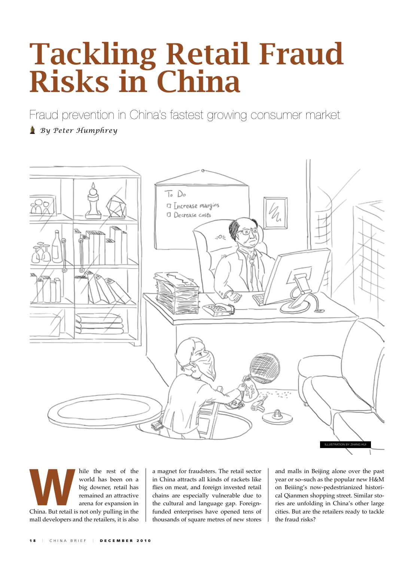## Tackling Retail Fraud Risks in China

Fraud prevention in China's fastest growing consumer market

## *By Peter Humphrey*



hile the rest of the world has been on a big downer, retail has remained an attractive arena for expansion in China. But retail is not only pulling in the world has been on a big downer, retail has remained an attractive arena for expansion in mall developers and the retailers, it is also

a magnet for fraudsters. The retail sector in China attracts all kinds of rackets like flies on meat, and foreign invested retail chains are especially vulnerable due to the cultural and language gap. Foreignfunded enterprises have opened tens of thousands of square metres of new stores

and malls in Beijing alone over the past year or so–such as the popular new H&M on Beiiing's now-pedestrianized historical Qianmen shopping street. Similar stories are unfolding in China's other large cities. But are the retailers ready to tackle the fraud risks?